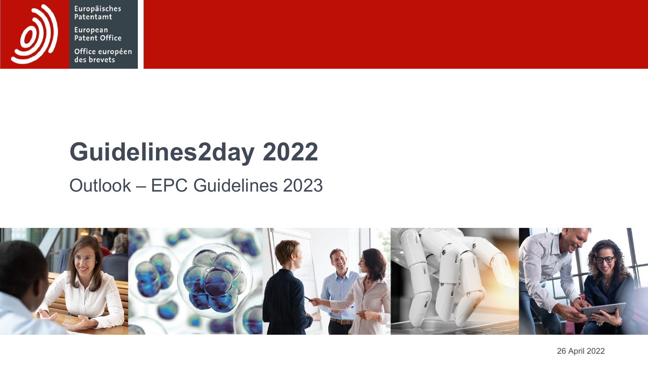

Europäisches<br>Patentamt European<br>Patent Office

Office européen<br>des brevets

## **Guidelines2day 2022**

## Outlook – EPC Guidelines 2023

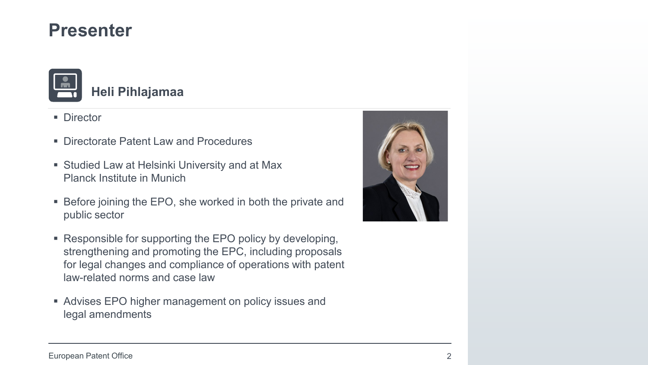

- Director
- Directorate Patent Law and Procedures
- Studied Law at Helsinki University and at Max Planck Institute in Munich
- Before joining the EPO, she worked in both the private and public sector
- Responsible for supporting the EPO policy by developing, strengthening and promoting the EPC, including proposals for legal changes and compliance of operations with patent law-related norms and case law
- Advises EPO higher management on policy issues and legal amendments

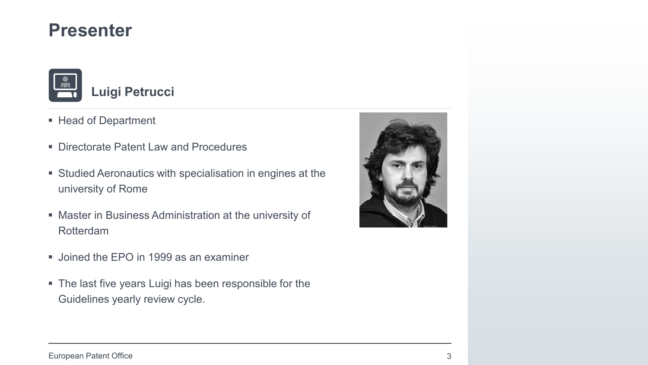

- Head of Department
- Directorate Patent Law and Procedures
- Studied Aeronautics with specialisation in engines at the university of Rome
- Master in Business Administration at the university of Rotterdam
- **Joined the EPO in 1999 as an examiner**
- The last five years Luigi has been responsible for the Guidelines yearly review cycle.

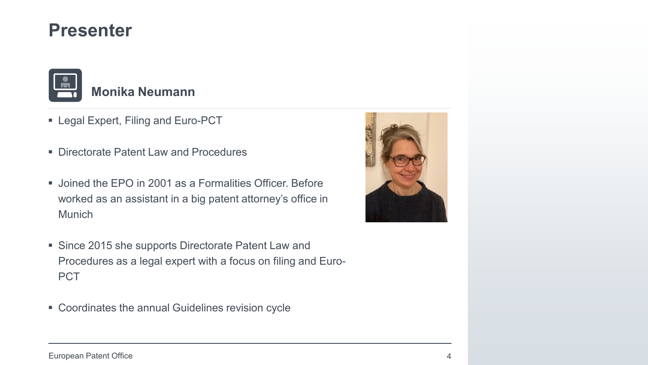

- Legal Expert, Filing and Euro-PCT
- Directorate Patent Law and Procedures
- Joined the EPO in 2001 as a Formalities Officer. Before worked as an assistant in a big patent attorney's office in Munich
- Since 2015 she supports Directorate Patent Law and Procedures as a legal expert with a focus on filing and Euro-PCT
- Coordinates the annual Guidelines revision cycle

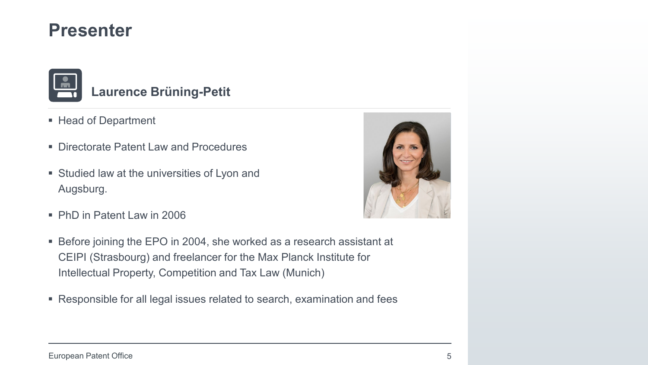

#### **Laurence Brüning-Petit**

- Head of Department
- Directorate Patent Law and Procedures
- **Studied law at the universities of Lyon and** Augsburg.
- PhD in Patent Law in 2006
- Before joining the EPO in 2004, she worked as a research assistant at CEIPI (Strasbourg) and freelancer for the Max Planck Institute for Intellectual Property, Competition and Tax Law (Munich)
- Responsible for all legal issues related to search, examination and fees

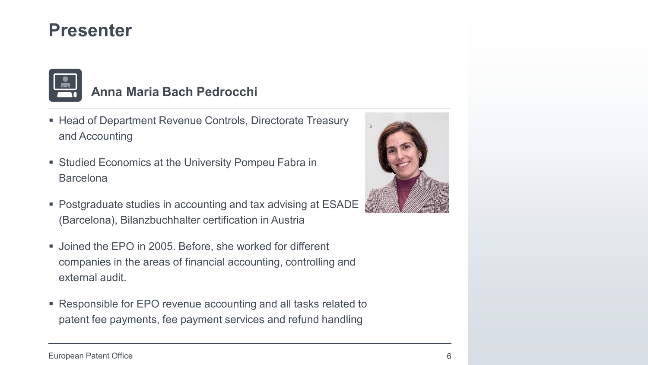

#### **Anna Maria Bach Pedrocchi**

- Head of Department Revenue Controls, Directorate Treasury and Accounting
- Studied Economics at the University Pompeu Fabra in Barcelona
- Postgraduate studies in accounting and tax advising at ESADE (Barcelona), Bilanzbuchhalter certification in Austria
- Joined the EPO in 2005. Before, she worked for different companies in the areas of financial accounting, controlling and external audit.
- Responsible for EPO revenue accounting and all tasks related to patent fee payments, fee payment services and refund handling

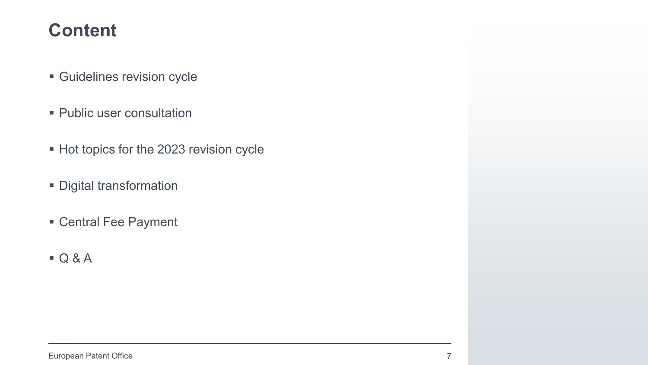#### **Content**

- Guidelines revision cycle
- Public user consultation
- Hot topics for the 2023 revision cycle
- **Digital transformation**
- Central Fee Payment
- $Q & A$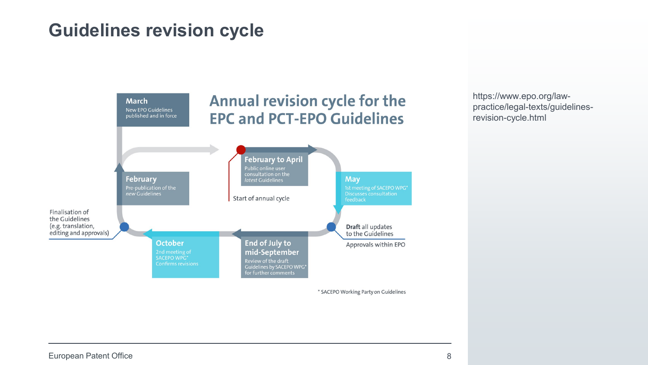#### **Guidelines revision cycle**



https://www.epo.org/lawpractice/legal-texts/guidelinesrevision-cycle.html

\* SACEPO Working Party on Guidelines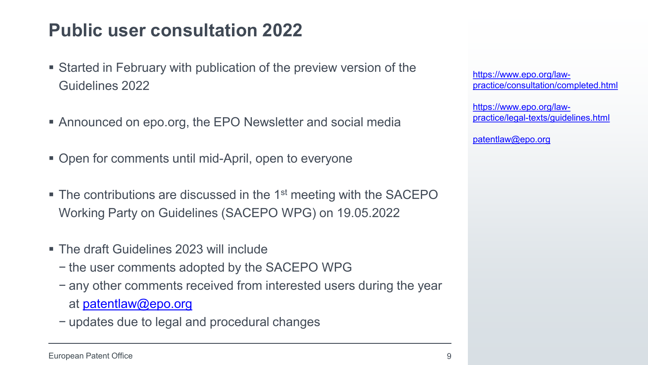## **Public user consultation 2022**

- Started in February with publication of the preview version of the Guidelines 2022
- Announced on epo.org, the EPO Newsletter and social media
- Open for comments until mid-April, open to everyone
- $\blacksquare$  The contributions are discussed in the 1<sup>st</sup> meeting with the SACEPO Working Party on Guidelines (SACEPO WPG) on 19.05.2022
- The draft Guidelines 2023 will include
	- − the user comments adopted by the SACEPO WPG
	- − any other comments received from interested users during the year at [patentlaw@epo.org](mailto:patentlaw@epo.org)
	- − updates due to legal and procedural changes

https://www.epo.org/law[practice/consultation/completed.html](https://www.epo.org/law-practice/consultation/completed.html)

https://www.epo.org/law[practice/legal-texts/guidelines.html](https://www.epo.org/law-practice/legal-texts/guidelines.html)

[patentlaw@epo.org](mailto:Patentlaw@epo.org)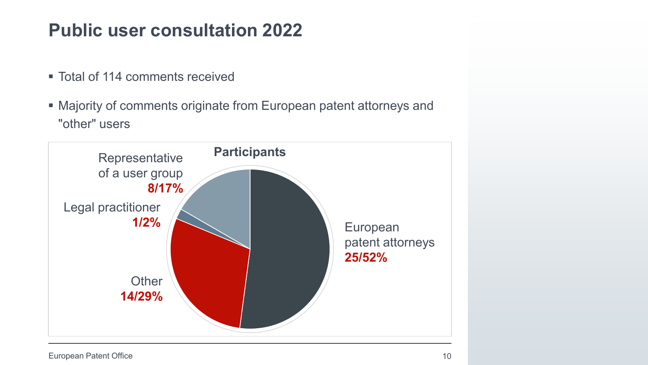## **Public user consultation 2022**

- Total of 114 comments received
- Majority of comments originate from European patent attorneys and "other" users



European Patent Office 10 and 10 and 10 and 10 and 10 and 10 and 10 and 10 and 10 and 10 and 10 and 10 and 10 and 10 and 10 and 10 and 10 and 10 and 10 and 10 and 10 and 10 and 10 and 10 and 10 and 10 and 10 and 10 and 10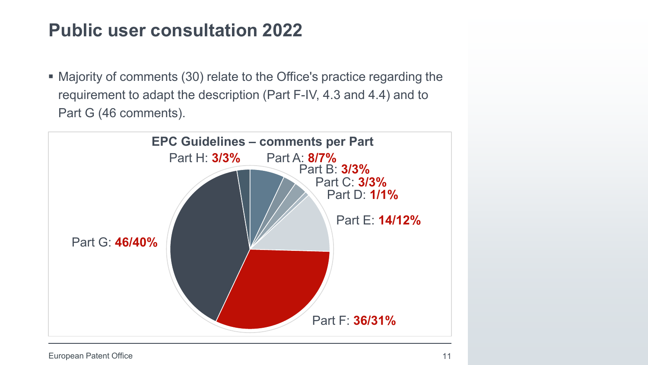## **Public user consultation 2022**

 Majority of comments (30) relate to the Office's practice regarding the requirement to adapt the description (Part F-IV, 4.3 and 4.4) and to Part G (46 comments).

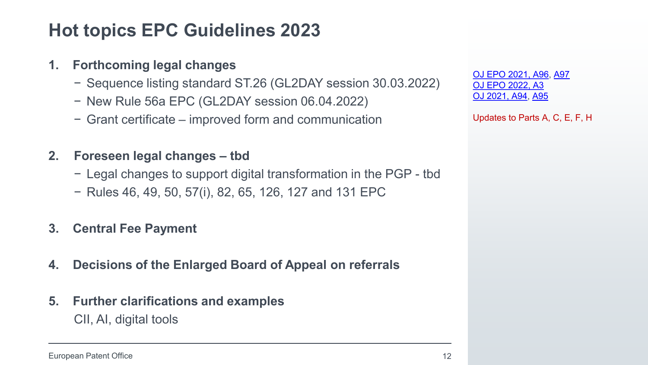### **Hot topics EPC Guidelines 2023**

#### **1. Forthcoming legal changes**

- − Sequence listing standard ST.26 (GL2DAY session 30.03.2022)
- − New Rule 56a EPC (GL2DAY session 06.04.2022)
- − Grant certificate improved form and communication

#### **2. Foreseen legal changes – tbd**

- − Legal changes to support digital transformation in the PGP tbd
- − Rules 46, 49, 50, 57(i), 82, 65, 126, 127 and 131 EPC

#### **3. Central Fee Payment**

- **4. Decisions of the Enlarged Board of Appeal on referrals**
- **5. Further clarifications and examples**

CII, AI, digital tools

[OJ EPO 2021, A96,](https://www.epo.org/law-practice/legal-texts/official-journal/2021/12/a96/2021-a96.pdf) [A97](https://www.epo.org/law-practice/legal-texts/official-journal/2021/12/a97/2021-a97.pdf) [OJ EPO 2022, A3](https://www.epo.org/law-practice/legal-texts/official-journal/2022/01/a3/2022-a3.pdf) [OJ 2021, A94](https://www.epo.org/law-practice/legal-texts/official-journal/2021/12/a94/2021-a94.pdf), [A95](https://www.epo.org/law-practice/legal-texts/official-journal/2021/12/a95/2021-a95.pdf)

Updates to Parts A, C, E, F, H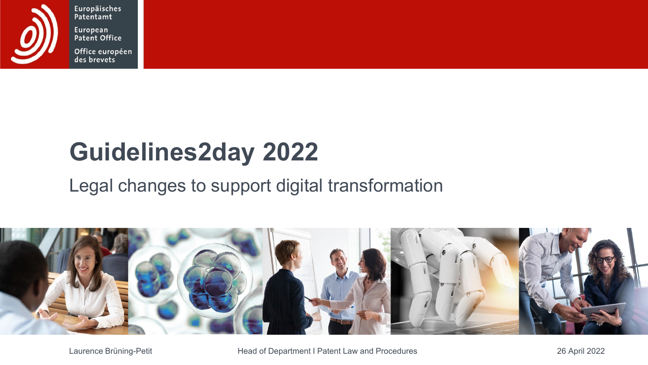

Europäisches Patentamt European Patent Office

Office européen des brevets

# **Guidelines2day 2022**

## Legal changes to support digital transformation



Laurence Brüning-Petit **Head of Department I Patent Law and Procedures** 26 April 2022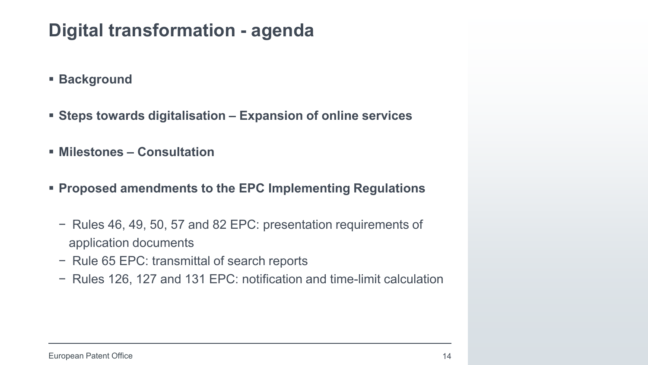## **Digital transformation - agenda**

- **Background**
- **Steps towards digitalisation – Expansion of online services**
- **Milestones – Consultation**
- **Proposed amendments to the EPC Implementing Regulations**
	- − Rules 46, 49, 50, 57 and 82 EPC: presentation requirements of application documents
	- − Rule 65 EPC: transmittal of search reports
	- − Rules 126, 127 and 131 EPC: notification and time-limit calculation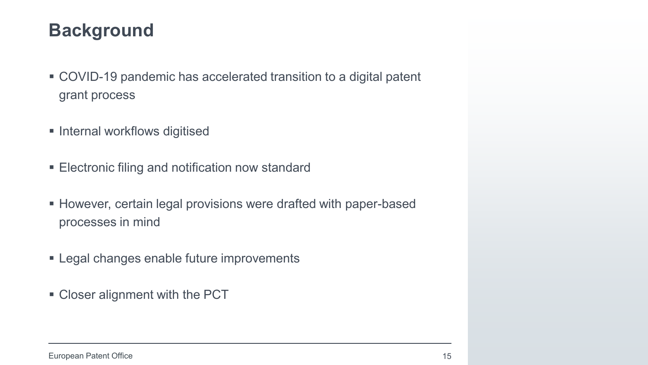### **Background**

- COVID-19 pandemic has accelerated transition to a digital patent grant process
- **Internal workflows digitised**
- Electronic filing and notification now standard
- However, certain legal provisions were drafted with paper-based processes in mind
- **Example 1** Legal changes enable future improvements
- **Closer alignment with the PCT**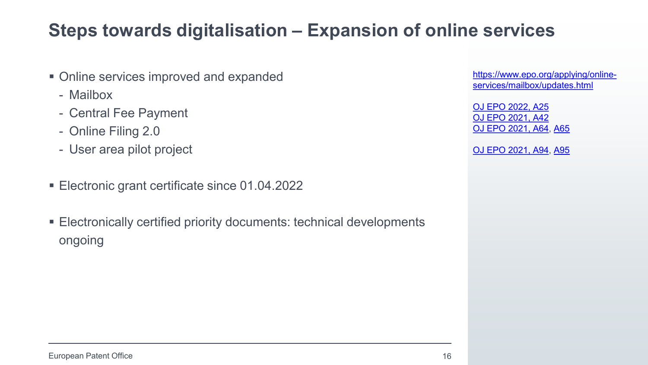### **Steps towards digitalisation – Expansion of online services**

- Online services improved and expanded
	- Mailbox
	- Central Fee Payment
	- Online Filing 2.0
	- User area pilot project
- Electronic grant certificate since 01.04.2022
- Electronically certified priority documents: technical developments ongoing

[https://www.epo.org/applying/online](https://www.epo.org/applying/online-services/mailbox/updates.html)services/mailbox/updates.html

[OJ EPO 2022, A25](https://www.epo.org/law-practice/legal-texts/official-journal/2022/03/a25.html) [OJ EPO 2021, A42](https://www.epo.org/law-practice/legal-texts/official-journal/2021/05/a42.html) [OJ EPO 2021, A64,](https://www.epo.org/law-practice/legal-texts/official-journal/2021/08/a64.html) [A65](https://www.epo.org/law-practice/legal-texts/official-journal/2021/08/a65.html)

[OJ EPO 2021, A94,](https://www.epo.org/law-practice/legal-texts/official-journal/2021/12/a94.html) [A95](https://www.epo.org/law-practice/legal-texts/official-journal/2021/12/a95.html)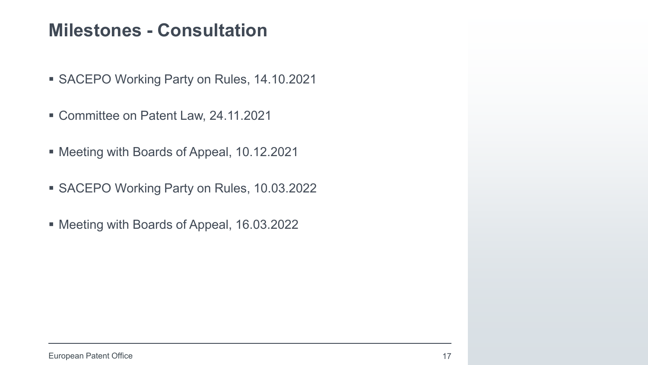#### **Milestones - Consultation**

- SACEPO Working Party on Rules, 14.10.2021
- Committee on Patent Law, 24.11.2021
- Meeting with Boards of Appeal, 10.12.2021
- SACEPO Working Party on Rules, 10.03.2022
- Meeting with Boards of Appeal, 16.03.2022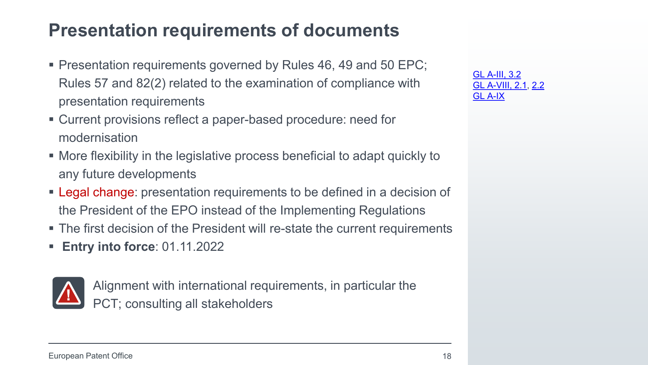### **Presentation requirements of documents**

- **Presentation requirements governed by Rules 46, 49 and 50 EPC;** Rules 57 and 82(2) related to the examination of compliance with presentation requirements
- Current provisions reflect a paper-based procedure: need for modernisation
- More flexibility in the legislative process beneficial to adapt quickly to any future developments
- **Legal change:** presentation requirements to be defined in a decision of the President of the EPO instead of the Implementing Regulations
- The first decision of the President will re-state the current requirements
- **Entry into force**: 01.11.2022



Alignment with international requirements, in particular the PCT; consulting all stakeholders

[GL A-III, 3.2](https://www.epo.org/law-practice/legal-texts/html/guidelines/e/a_iii_3_2.htm) [GL A-VIII, 2.1,](https://www.epo.org/law-practice/legal-texts/html/guidelines/e/a_viii_2_1.htm) [2.2](https://www.epo.org/law-practice/legal-texts/html/guidelines/e/a_viii_2_2.htm) [GL A-IX](https://www.epo.org/law-practice/legal-texts/html/guidelines/e/a_ix.htm)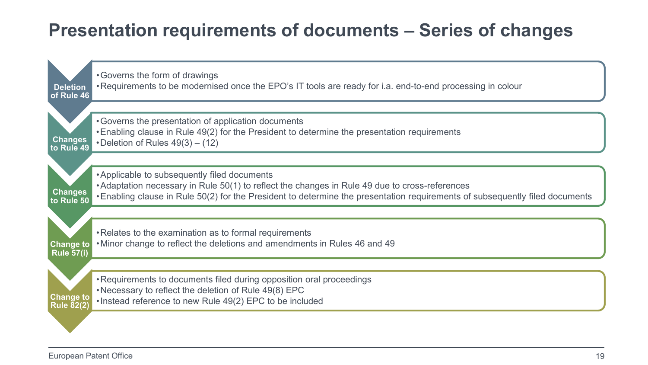## **Presentation requirements of documents – Series of changes**

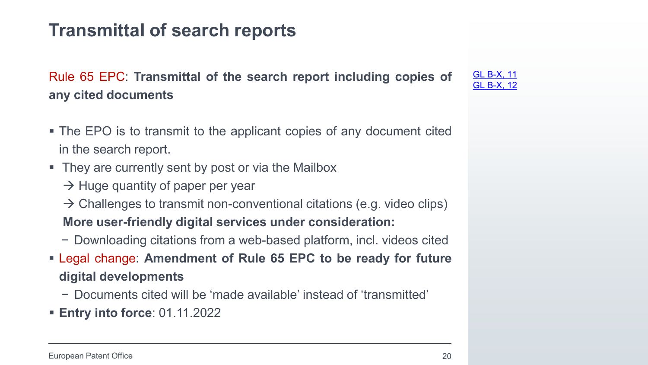## **Transmittal of search reports**

Rule 65 EPC: **Transmittal of the search report including copies of any cited documents**

- The EPO is to transmit to the applicant copies of any document cited in the search report.
- They are currently sent by post or via the Mailbox
	- $\rightarrow$  Huge quantity of paper per year
	- $\rightarrow$  Challenges to transmit non-conventional citations (e.g. video clips) **More user-friendly digital services under consideration:**
	- − Downloading citations from a web-based platform, incl. videos cited
- Legal change: **Amendment of Rule 65 EPC to be ready for future digital developments**
	- − Documents cited will be 'made available' instead of 'transmitted'
- **Entry into force**: 01.11.2022

[GL B-X, 11](https://www.epo.org/law-practice/legal-texts/html/guidelines/e/b_x_11.htm) [GL B-X, 12](https://www.epo.org/law-practice/legal-texts/html/guidelines/e/b_x_12.htm)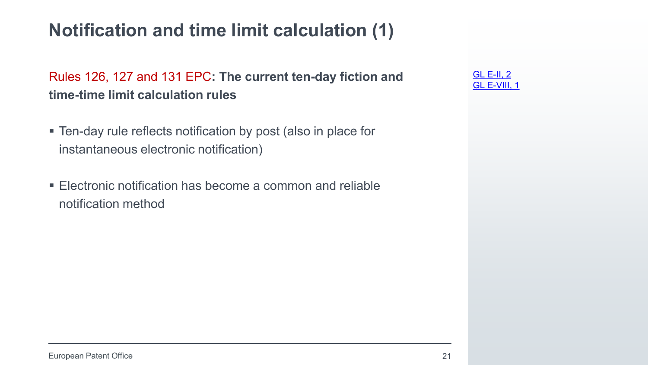## **Notification and time limit calculation (1)**

Rules 126, 127 and 131 EPC**: The current ten-day fiction and time-time limit calculation rules** 

- Ten-day rule reflects notification by post (also in place for instantaneous electronic notification)
- **Electronic notification has become a common and reliable** notification method

| ∸   |       |  |
|-----|-------|--|
| اشا | 7III. |  |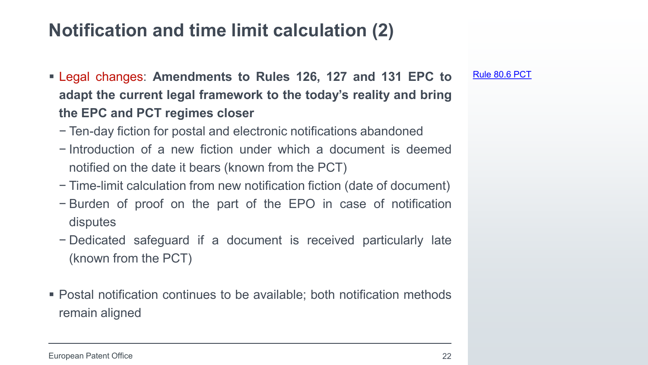### **Notification and time limit calculation (2)**

- Legal changes: **Amendments to Rules 126, 127 and 131 EPC to adapt the current legal framework to the today's reality and bring the EPC and PCT regimes closer**
	- − Ten-day fiction for postal and electronic notifications abandoned
	- − Introduction of a new fiction under which a document is deemed notified on the date it bears (known from the PCT)
	- − Time-limit calculation from new notification fiction (date of document)
	- − Burden of proof on the part of the EPO in case of notification disputes
	- − Dedicated safeguard if a document is received particularly late (known from the PCT)
- Postal notification continues to be available; both notification methods remain aligned

[Rule 80.6 PCT](https://www.wipo.int/pct/en/texts/rules/r80.html#_80_6)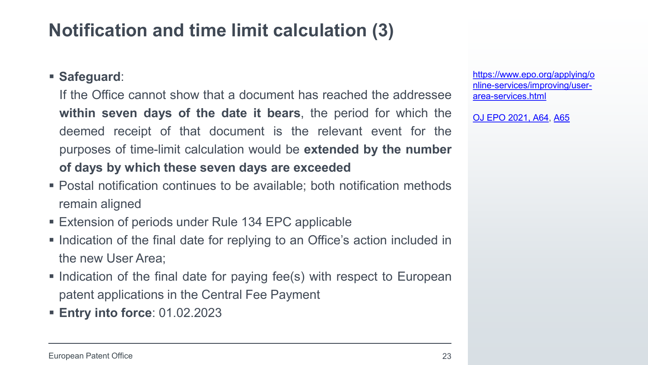## **Notification and time limit calculation (3)**

#### **Safeguard**:

If the Office cannot show that a document has reached the addressee **within seven days of the date it bears**, the period for which the deemed receipt of that document is the relevant event for the purposes of time-limit calculation would be **extended by the number of days by which these seven days are exceeded**

- Postal notification continues to be available; both notification methods remain aligned
- **Extension of periods under Rule 134 EPC applicable**
- Indication of the final date for replying to an Office's action included in the new User Area;
- Indication of the final date for paying fee(s) with respect to European patent applications in the Central Fee Payment
- **Entry into force**: 01.02.2023

https://www.epo.org/applying/o [nline-services/improving/user](https://www.epo.org/applying/online-services/improving/user-area-services.html)area-services.html

[OJ EPO 2021, A64,](https://www.epo.org/law-practice/legal-texts/official-journal/2021/08/a64.html) [A65](https://www.epo.org/law-practice/legal-texts/official-journal/2021/08/a65.html)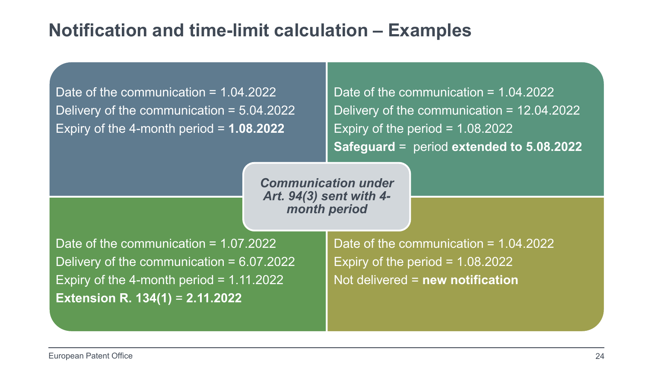#### **Notification and time-limit calculation – Examples**

Date of the communication = 1.04.2022 Delivery of the communication = 5.04.2022 Expiry of the 4-month period = **1.08.2022**

Date of the communication  $= 1.04.2022$ Delivery of the communication = 12.04.2022 Expiry of the period  $= 1.08.2022$ **Safeguard** = period **extended to 5.08.2022**

*Communication under Art. 94(3) sent with 4 month period* 

Date of the communication = 1.07.2022 Delivery of the communication  $= 6.07.2022$ Expiry of the 4-month period  $= 1.11.2022$ **Extension R. 134(1)** = **2.11.2022**

Date of the communication = 1.04.2022 Expiry of the period  $= 1.08.2022$ Not delivered = **new notification**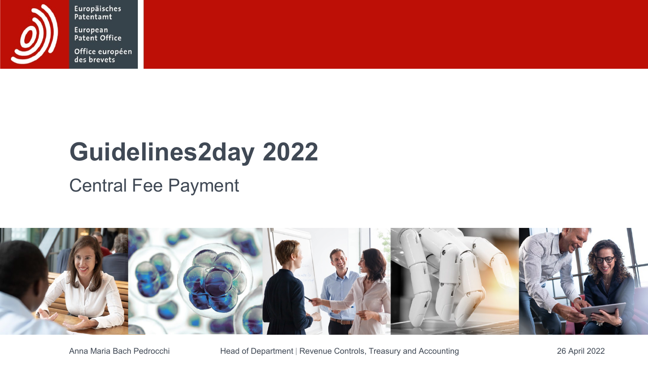

Europäisches Patentamt European<br>Patent Office

Office européen<br>des brevets

## **Guidelines2day 2022**

## Central Fee Payment



Anna Maria Bach Pedrocchi Head of Department | Revenue Controls, Treasury and Accounting 26 April 2022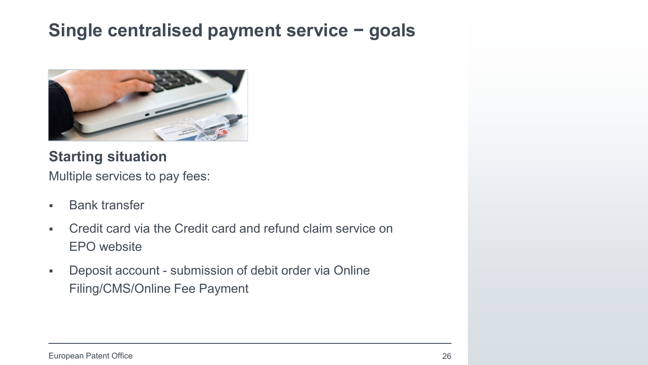### **Single centralised payment service − goals**



#### **Starting situation**

Multiple services to pay fees:

- **Bank transfer**
- Credit card via the Credit card and refund claim service on EPO website
- Deposit account submission of debit order via Online Filing/CMS/Online Fee Payment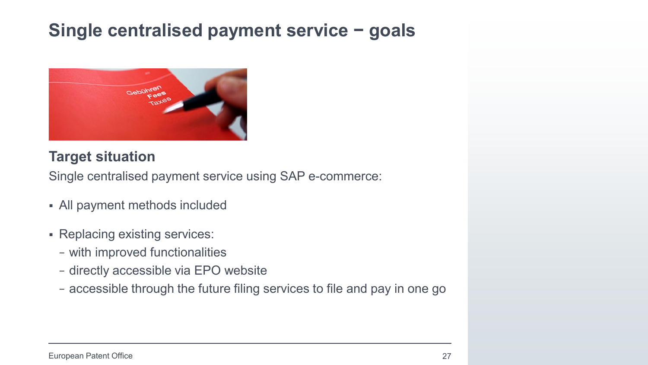## **Single centralised payment service − goals**



#### **Target situation**

Single centralised payment service using SAP e-commerce:

- All payment methods included
- Replacing existing services:
	- − with improved functionalities
	- − directly accessible via EPO website
	- − accessible through the future filing services to file and pay in one go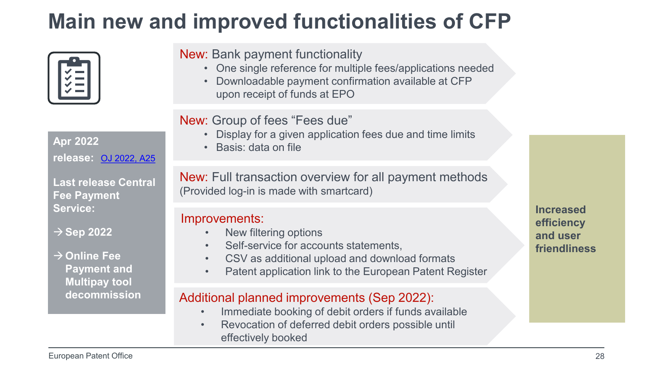## **Main new and improved functionalities of CFP**

|--|

**Apr 2022 release:** [OJ 2022, A25](https://nam12.safelinks.protection.outlook.com/?url=https%3A%2F%2Fnewepoonline.newsweaver.com%2Fdi88tjn2ut%2F1tfgk6qbpprcnqcei8up6q%2Fexternal%3Femail%3Dtrue%26a%3D6%26p%3D61483690%26t%3D31516023&data=04%7C01%7C%7Cd790c1ce2c4344c1f8b808da160facd6%7C84df9e7fe9f640afb435aaaaaaaaaaaa%7C1%7C0%7C637846553845927363%7CUnknown%7CTWFpbGZsb3d8eyJWIjoiMC4wLjAwMDAiLCJQIjoiV2luMzIiLCJBTiI6Ik1haWwiLCJXVCI6Mn0%3D%7C3000&sdata=3X35asLg3jpCHVBO264nUYucUNAUqXMbW7q2iW%2FYvpo%3D&reserved=0)

**Last release Central Fee Payment Service:**

**Sep 2022** 

 $→$  **Online Fee Payment and Multipay tool decommission** New: Bank payment functionality

- One single reference for multiple fees/applications needed
- Downloadable payment confirmation available at CFP upon receipt of funds at EPO

#### New: Group of fees "Fees due"

- Display for a given application fees due and time limits
- Basis: data on file

New: Full transaction overview for all payment methods (Provided log-in is made with smartcard)

#### Improvements:

- New filtering options
- Self-service for accounts statements,
- CSV as additional upload and download formats
- Patent application link to the European Patent Register

#### Additional planned improvements (Sep 2022):

- Immediate booking of debit orders if funds available
- Revocation of deferred debit orders possible until effectively booked

**Increased efficiency and user friendliness**